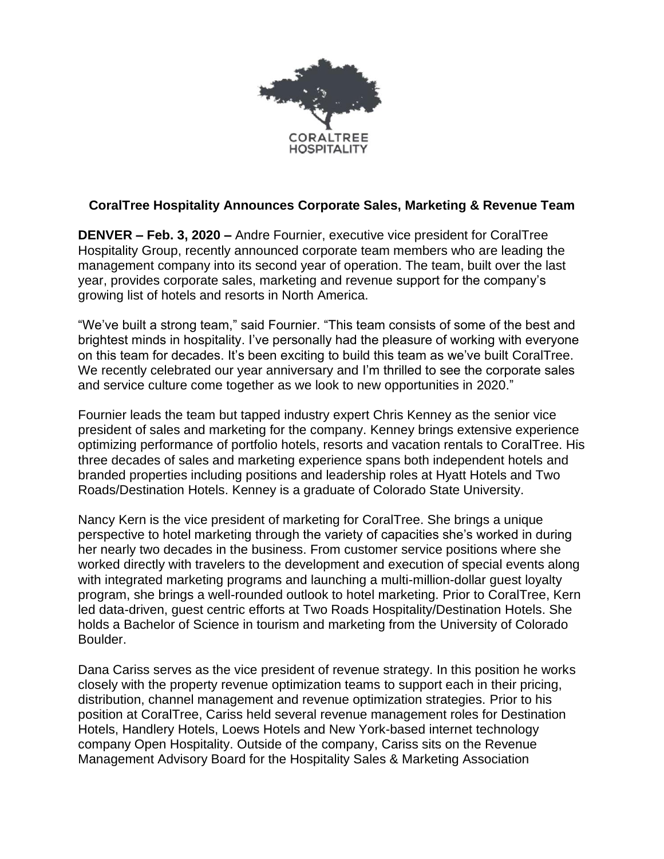

## **CoralTree Hospitality Announces Corporate Sales, Marketing & Revenue Team**

**DENVER – Feb. 3, 2020 –** Andre Fournier, executive vice president for CoralTree Hospitality Group, recently announced corporate team members who are leading the management company into its second year of operation. The team, built over the last year, provides corporate sales, marketing and revenue support for the company's growing list of hotels and resorts in North America.

"We've built a strong team," said Fournier. "This team consists of some of the best and brightest minds in hospitality. I've personally had the pleasure of working with everyone on this team for decades. It's been exciting to build this team as we've built CoralTree. We recently celebrated our year anniversary and I'm thrilled to see the corporate sales and service culture come together as we look to new opportunities in 2020."

Fournier leads the team but tapped industry expert Chris Kenney as the senior vice president of sales and marketing for the company. Kenney brings extensive experience optimizing performance of portfolio hotels, resorts and vacation rentals to CoralTree. His three decades of sales and marketing experience spans both independent hotels and branded properties including positions and leadership roles at Hyatt Hotels and Two Roads/Destination Hotels. Kenney is a graduate of Colorado State University.

Nancy Kern is the vice president of marketing for CoralTree. She brings a unique perspective to hotel marketing through the variety of capacities she's worked in during her nearly two decades in the business. From customer service positions where she worked directly with travelers to the development and execution of special events along with integrated marketing programs and launching a multi-million-dollar guest loyalty program, she brings a well-rounded outlook to hotel marketing. Prior to CoralTree, Kern led data-driven, guest centric efforts at Two Roads Hospitality/Destination Hotels. She holds a Bachelor of Science in tourism and marketing from the University of Colorado Boulder.

Dana Cariss serves as the vice president of revenue strategy. In this position he works closely with the property revenue optimization teams to support each in their pricing, distribution, channel management and revenue optimization strategies. Prior to his position at CoralTree, Cariss held several revenue management roles for Destination Hotels, Handlery Hotels, Loews Hotels and New York-based internet technology company Open Hospitality. Outside of the company, Cariss sits on the Revenue Management Advisory Board for the Hospitality Sales & Marketing Association